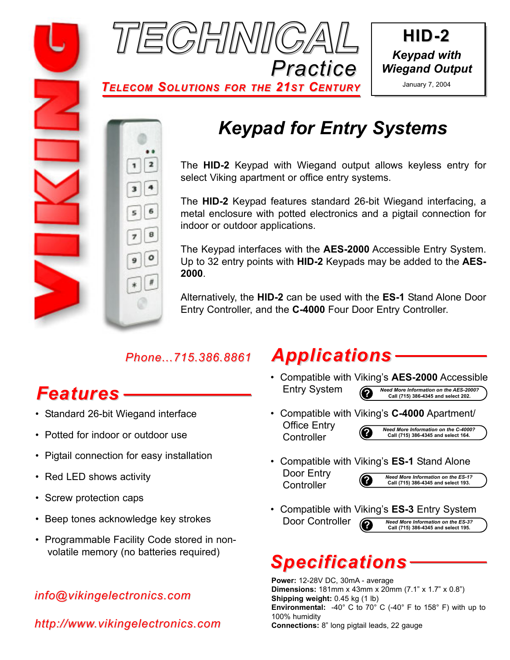





*TELECOM SOLUTIONS FOR THE 21ST CENTURY*



### *Keypad for Entry Systems*

The **HID-2** Keypad with Wiegand output allows keyless entry for select Viking apartment or office entry systems.

The **HID-2** Keypad features standard 26-bit Wiegand interfacing, a metal enclosure with potted electronics and a pigtail connection for indoor or outdoor applications.

The Keypad interfaces with the **AES-2000** Accessible Entry System. Up to 32 entry points with **HID-2** Keypads may be added to the **AES-2000**.

Alternatively, the **HID-2** can be used with the **ES-1** Stand Alone Door Entry Controller, and the **C-4000** Four Door Entry Controller.

### *Phone...715.386.8861*

# *Features*

- Standard 26-bit Wiegand interface
- Potted for indoor or outdoor use
- Pigtail connection for easy installation
- Red LED shows activity
- Screw protection caps
- Beep tones acknowledge key strokes
- Programmable Facility Code stored in nonvolatile memory (no batteries required)

### *info@vikingelectronics.com*

*http://www.vikingelectronics.com*

### *Applications*

- Compatible with Viking's **AES-2000** Accessible Entry System **?** *Need More Information on the AES-2000?* **Call (715) 386-4345 and select 202.**
- Compatible with Viking's **C-4000** Apartment/ Office Entry **Controller ?** *Need More Information on the C-4000?* **Call (715) 386-4345 and select 164.**
- Compatible with Viking's **ES-1** Stand Alone Door Entry
	- **Controller**

**?** *Need More Information on the ES-1?* **Call (715) 386-4345 and select 193.**

• Compatible with Viking's **ES-3** Entry System Door Controller **?** *Need More Information on the ES-3?* **Call (715) 386-4345 and select 195.**

# *Specifications*

**Power:** 12-28V DC, 30mA - average **Dimensions:** 181mm x 43mm x 20mm (7.1" x 1.7" x 0.8") **Shipping weight:** 0.45 kg (1 lb) **Environmental:** -40° C to 70° C (-40° F to 158° F) with up to 100% humidity **Connections:** 8" long pigtail leads, 22 gauge